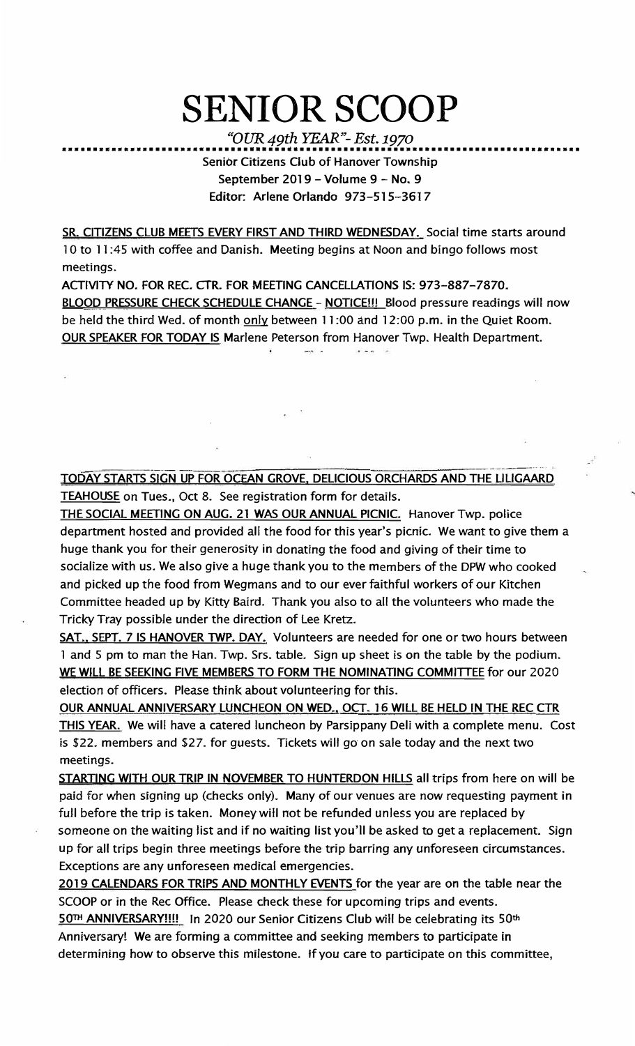## **SENIOR SCOOP**

*"OUR 49th YEAR"- Est.1970*  ••••••••••••••••••••••••••••••••••••••••••••••••••••••••••••••••••••••••••••••••••• **Senior Citizens Club of Hanover Township September 2019 - Volume 9 - No. 9 Editor: Arlene Orlando 973-Sl 5-3617** 

**SR. CITIZENS CLUB MEETS EVERY FIRST AND THIRD WEDNESDAY. Social time starts around 1 Oto 11 :45 with coffee and Danish. Meeting begins at Noon and bingo follows most meetings.** 

**ACTIVITY NO. FOR REC. CTR. FOR MEETING CANCELLATIONS IS: 973-887-7870. BLOOD PRESSURE CHECK SCHEDULE CHANGE - NOTICE!!! Blood pressure readings will now be held the third Wed. of month only between 11 :00 and 12:00 p.m. in the Quiet Room. OUR SPEAKER FOR TODAY IS Marlene Peterson from Hanover Twp. Health Department.** 

**TODAY STARTS SIGN UP FOR OCEAN GROVE, DELICIOUS ORCHARDS AND THE LILIGAARD TEAHOUSE on Tues., Oct 8. See registration form for details.** 

**THE SOCIAL MEETING ON AUG. 21 WAS OUR ANNUAL PICNIC. Hanover Twp. police department hosted and provided all the food for this year's picnic. We want to give them a huge thank you for their generosity in donating the food and giving of their time to socialize with us. We also give a huge thank you to the members of the DPW who cooked and picked up the food from Wegmans and to our ever faithful workers of our Kitchen Committee headed up by Kitty Baird. Thank you also to all the volunteers who made the Tricky Tray possible under the direction of Lee Kretz.** 

**SAT .• SEPT. 7 IS HANOVER TWP. DAY. Volunteers are needed for one or two hours between 1 and 5 pm to man the Han. Twp. Srs. table. Sign up sheet is on the table by the podium. WE WILL BE SEEKING FIVE MEMBERS TO FORM THE NOMINATING COMMITTEE for our 2020 election of officers. Please think about volunteering for this.** 

**OUR ANNUAL ANNIVERSARY LUNCHEON ON WED., OCT. 16 WILL BE HELD IN THE REC CTR THIS YEAR. We will have a catered luncheon by Parsippany Deli with a complete menu. Cost is \$22. members and \$27. for guests. Tickets will go on sale today and the next two meetings.** 

**STARTING WITH OUR TRIP IN NOVEMBER TO HUNTERDON HILLS all trips from here on will be paid for when signing up (checks only). Many of our venues are now requesting payment in full before the trip is taken. Money will not be refunded unless you are replaced by someone on the waiting list and if no waiting list you'll be asked to get a replacement. Sign up for all trips begin three meetings before the trip barring any unforeseen circumstances. Exceptions are any unforeseen medical emergencies.** 

**2019 CALENDARS FOR TRIPS AND MONTHLY EVENTS for the year are on the table near the SCOOP or in the Rec Office. Please check these for upcoming trips and events.** 

**50TH ANNIVERSARY!!!! In 2020 our Senior Citizens Club will be celebrating its 50th Anniversary! We are forming a committee and seeking members to participate in determining how to observe this milestone. ff you care to participate on this committee,**